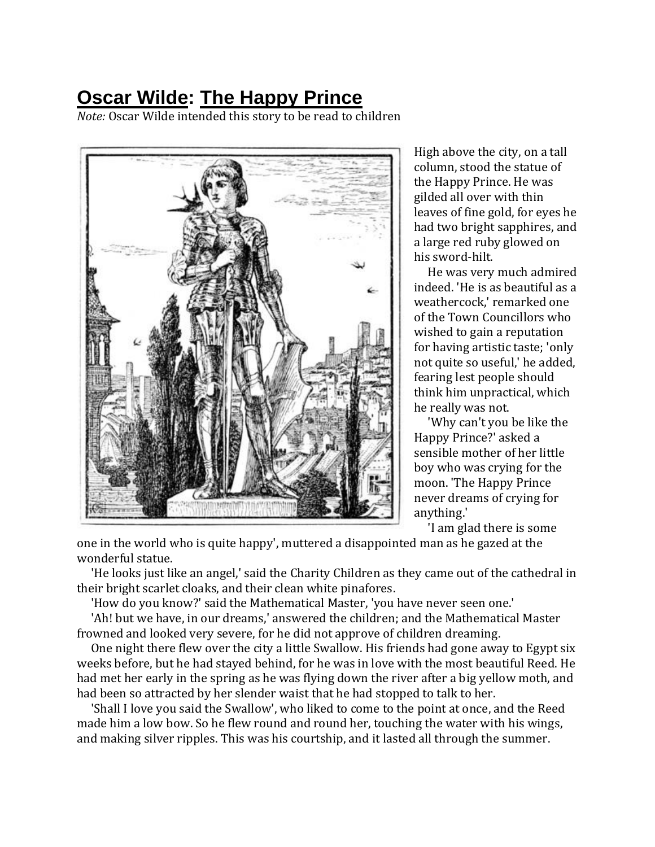## **[Oscar Wilde:](http://www.eastoftheweb.com/cgi-bin/read_db.pl?search_field=author_id&search_for=OscarWilde&order_by=author_last,title&page=1) [The Happy Prince](http://www.eastoftheweb.com/short-stories/UBooks/HapPri.shtml)**

*Note:* Oscar Wilde intended this story to be read to children



High above the city, on a tall column, stood the statue of the Happy Prince. He was gilded all over with thin leaves of fine gold, for eyes he had two bright sapphires, and a large red ruby glowed on his sword-hilt.

 He was very much admired indeed. 'He is as beautiful as a weathercock,' remarked one of the Town Councillors who wished to gain a reputation for having artistic taste; 'only not quite so useful,' he added, fearing lest people should think him unpractical, which he really was not.

 'Why can't you be like the Happy Prince?' asked a sensible mother of her little boy who was crying for the moon. 'The Happy Prince never dreams of crying for anything.'

'I am glad there is some

one in the world who is quite happy', muttered a disappointed man as he gazed at the wonderful statue.

 'He looks just like an angel,' said the Charity Children as they came out of the cathedral in their bright scarlet cloaks, and their clean white pinafores.

'How do you know?' said the Mathematical Master, 'you have never seen one.'

 'Ah! but we have, in our dreams,' answered the children; and the Mathematical Master frowned and looked very severe, for he did not approve of children dreaming.

 One night there flew over the city a little Swallow. His friends had gone away to Egypt six weeks before, but he had stayed behind, for he was in love with the most beautiful Reed. He had met her early in the spring as he was flying down the river after a big yellow moth, and had been so attracted by her slender waist that he had stopped to talk to her.

 'Shall I love you said the Swallow', who liked to come to the point at once, and the Reed made him a low bow. So he flew round and round her, touching the water with his wings, and making silver ripples. This was his courtship, and it lasted all through the summer.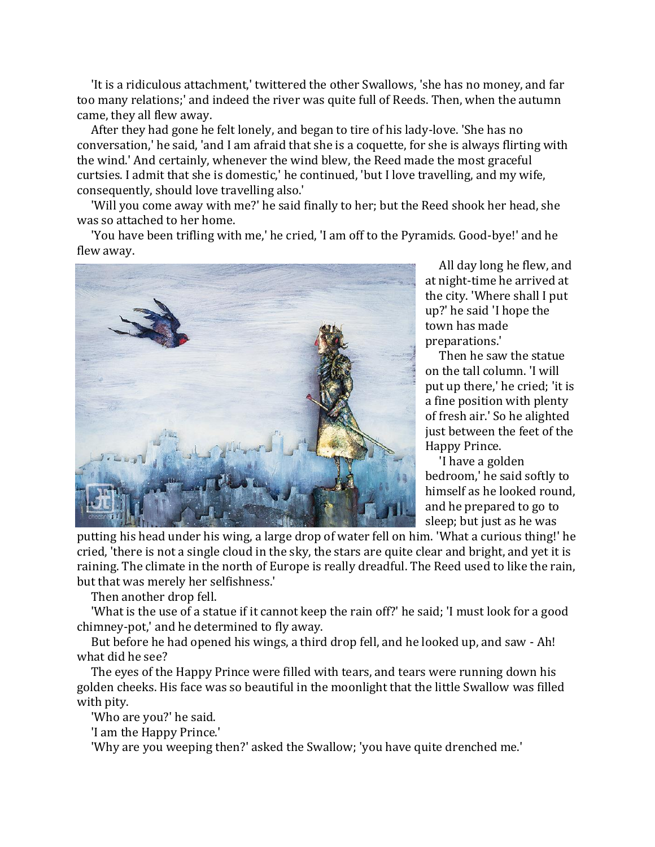'It is a ridiculous attachment,' twittered the other Swallows, 'she has no money, and far too many relations;' and indeed the river was quite full of Reeds. Then, when the autumn came, they all flew away.

 After they had gone he felt lonely, and began to tire of his lady-love. 'She has no conversation,' he said, 'and I am afraid that she is a coquette, for she is always flirting with the wind.' And certainly, whenever the wind blew, the Reed made the most graceful curtsies. I admit that she is domestic,' he continued, 'but I love travelling, and my wife, consequently, should love travelling also.'

 'Will you come away with me?' he said finally to her; but the Reed shook her head, she was so attached to her home.

 'You have been trifling with me,' he cried, 'I am off to the Pyramids. Good-bye!' and he flew away.



 All day long he flew, and at night-time he arrived at the city. 'Where shall I put up?' he said 'I hope the town has made preparations.'

 Then he saw the statue on the tall column. 'I will put up there,' he cried; 'it is a fine position with plenty of fresh air.' So he alighted just between the feet of the Happy Prince.

 'I have a golden bedroom,' he said softly to himself as he looked round, and he prepared to go to sleep; but just as he was

putting his head under his wing, a large drop of water fell on him. 'What a curious thing!' he cried, 'there is not a single cloud in the sky, the stars are quite clear and bright, and yet it is raining. The climate in the north of Europe is really dreadful. The Reed used to like the rain, but that was merely her selfishness.'

Then another drop fell.

 'What is the use of a statue if it cannot keep the rain off?' he said; 'I must look for a good chimney-pot,' and he determined to fly away.

 But before he had opened his wings, a third drop fell, and he looked up, and saw - Ah! what did he see?

 The eyes of the Happy Prince were filled with tears, and tears were running down his golden cheeks. His face was so beautiful in the moonlight that the little Swallow was filled with pity.

'Who are you?' he said.

'I am the Happy Prince.'

'Why are you weeping then?' asked the Swallow; 'you have quite drenched me.'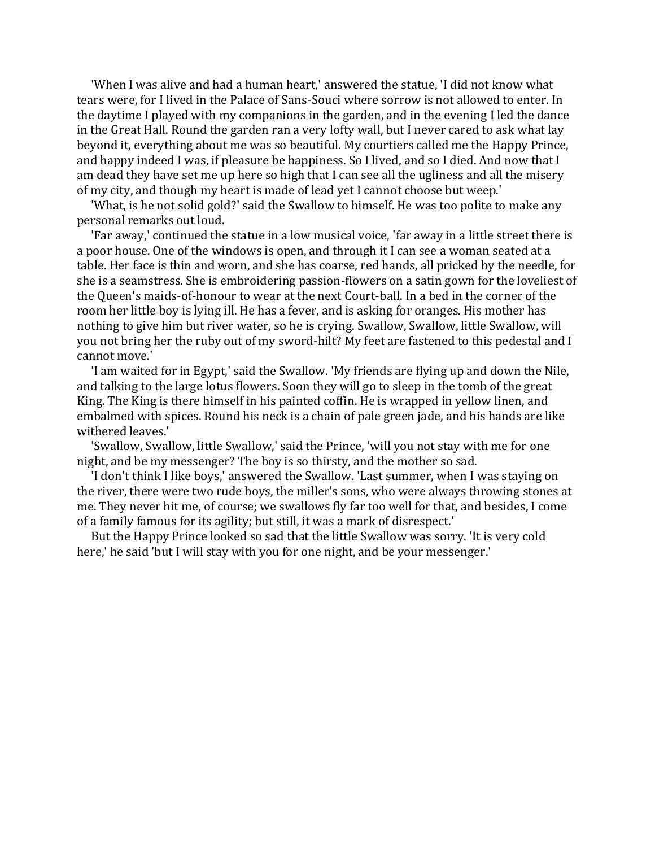'When I was alive and had a human heart,' answered the statue, 'I did not know what tears were, for I lived in the Palace of Sans-Souci where sorrow is not allowed to enter. In the daytime I played with my companions in the garden, and in the evening I led the dance in the Great Hall. Round the garden ran a very lofty wall, but I never cared to ask what lay beyond it, everything about me was so beautiful. My courtiers called me the Happy Prince, and happy indeed I was, if pleasure be happiness. So I lived, and so I died. And now that I am dead they have set me up here so high that I can see all the ugliness and all the misery of my city, and though my heart is made of lead yet I cannot choose but weep.'

 'What, is he not solid gold?' said the Swallow to himself. He was too polite to make any personal remarks out loud.

 'Far away,' continued the statue in a low musical voice, 'far away in a little street there is a poor house. One of the windows is open, and through it I can see a woman seated at a table. Her face is thin and worn, and she has coarse, red hands, all pricked by the needle, for she is a seamstress. She is embroidering passion-flowers on a satin gown for the loveliest of the Queen's maids-of-honour to wear at the next Court-ball. In a bed in the corner of the room her little boy is lying ill. He has a fever, and is asking for oranges. His mother has nothing to give him but river water, so he is crying. Swallow, Swallow, little Swallow, will you not bring her the ruby out of my sword-hilt? My feet are fastened to this pedestal and I cannot move.'

 'I am waited for in Egypt,' said the Swallow. 'My friends are flying up and down the Nile, and talking to the large lotus flowers. Soon they will go to sleep in the tomb of the great King. The King is there himself in his painted coffin. He is wrapped in yellow linen, and embalmed with spices. Round his neck is a chain of pale green jade, and his hands are like withered leaves.'

 'Swallow, Swallow, little Swallow,' said the Prince, 'will you not stay with me for one night, and be my messenger? The boy is so thirsty, and the mother so sad.

 'I don't think I like boys,' answered the Swallow. 'Last summer, when I was staying on the river, there were two rude boys, the miller's sons, who were always throwing stones at me. They never hit me, of course; we swallows fly far too well for that, and besides, I come of a family famous for its agility; but still, it was a mark of disrespect.'

 But the Happy Prince looked so sad that the little Swallow was sorry. 'It is very cold here,' he said 'but I will stay with you for one night, and be your messenger.'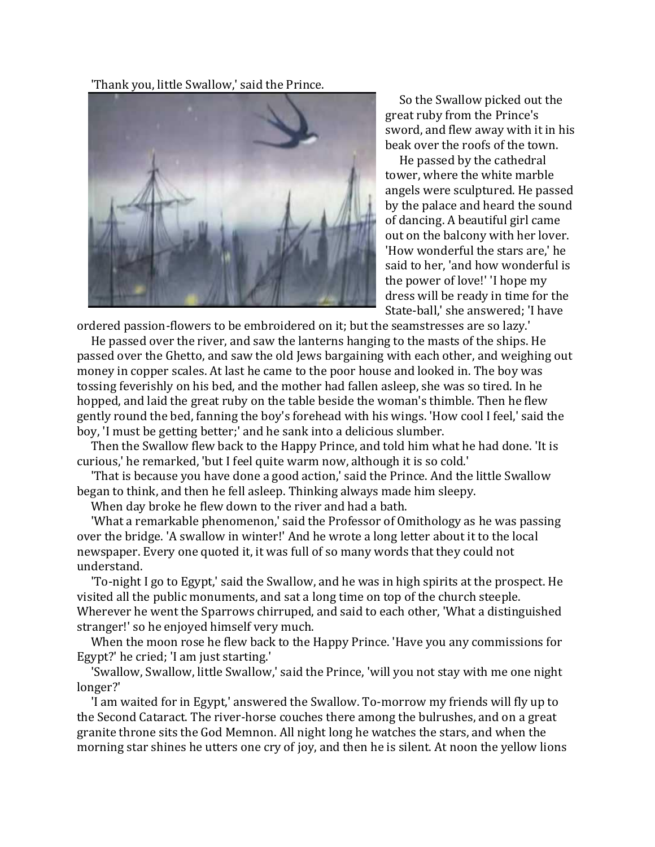'Thank you, little Swallow,' said the Prince.



 So the Swallow picked out the great ruby from the Prince's sword, and flew away with it in his beak over the roofs of the town.

 He passed by the cathedral tower, where the white marble angels were sculptured. He passed by the palace and heard the sound of dancing. A beautiful girl came out on the balcony with her lover. 'How wonderful the stars are,' he said to her, 'and how wonderful is the power of love!' 'I hope my dress will be ready in time for the State-ball,' she answered; 'I have

ordered passion-flowers to be embroidered on it; but the seamstresses are so lazy.'

 He passed over the river, and saw the lanterns hanging to the masts of the ships. He passed over the Ghetto, and saw the old Jews bargaining with each other, and weighing out money in copper scales. At last he came to the poor house and looked in. The boy was tossing feverishly on his bed, and the mother had fallen asleep, she was so tired. In he hopped, and laid the great ruby on the table beside the woman's thimble. Then he flew gently round the bed, fanning the boy's forehead with his wings. 'How cool I feel,' said the boy, 'I must be getting better;' and he sank into a delicious slumber.

 Then the Swallow flew back to the Happy Prince, and told him what he had done. 'It is curious,' he remarked, 'but I feel quite warm now, although it is so cold.'

 'That is because you have done a good action,' said the Prince. And the little Swallow began to think, and then he fell asleep. Thinking always made him sleepy.

When day broke he flew down to the river and had a bath.

 'What a remarkable phenomenon,' said the Professor of Omithology as he was passing over the bridge. 'A swallow in winter!' And he wrote a long letter about it to the local newspaper. Every one quoted it, it was full of so many words that they could not understand.

 'To-night I go to Egypt,' said the Swallow, and he was in high spirits at the prospect. He visited all the public monuments, and sat a long time on top of the church steeple. Wherever he went the Sparrows chirruped, and said to each other, 'What a distinguished stranger!' so he enjoyed himself very much.

 When the moon rose he flew back to the Happy Prince. 'Have you any commissions for Egypt?' he cried; 'I am just starting.'

 'Swallow, Swallow, little Swallow,' said the Prince, 'will you not stay with me one night longer?'

 'I am waited for in Egypt,' answered the Swallow. To-morrow my friends will fly up to the Second Cataract. The river-horse couches there among the bulrushes, and on a great granite throne sits the God Memnon. All night long he watches the stars, and when the morning star shines he utters one cry of joy, and then he is silent. At noon the yellow lions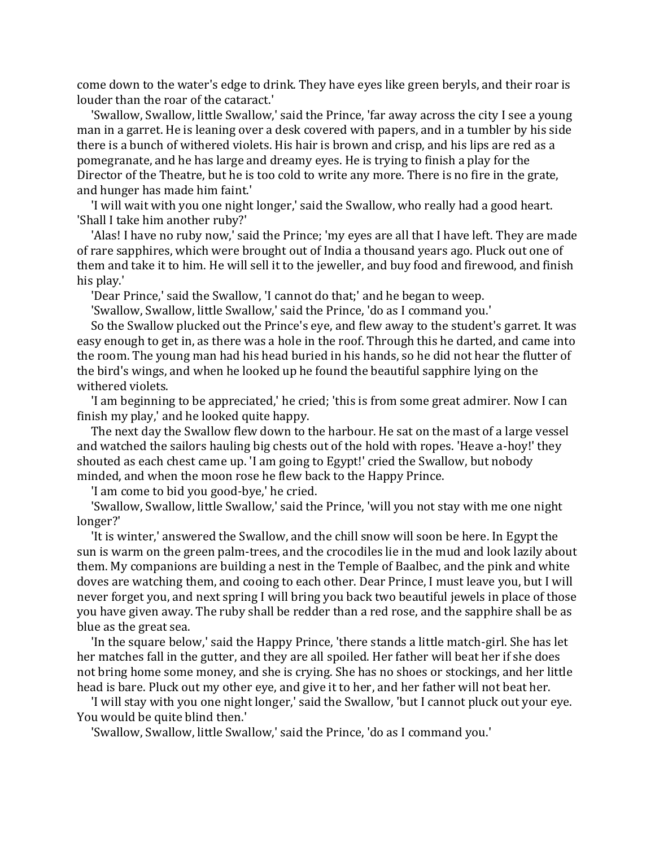come down to the water's edge to drink. They have eyes like green beryls, and their roar is louder than the roar of the cataract.'

 'Swallow, Swallow, little Swallow,' said the Prince, 'far away across the city I see a young man in a garret. He is leaning over a desk covered with papers, and in a tumbler by his side there is a bunch of withered violets. His hair is brown and crisp, and his lips are red as a pomegranate, and he has large and dreamy eyes. He is trying to finish a play for the Director of the Theatre, but he is too cold to write any more. There is no fire in the grate, and hunger has made him faint.'

 'I will wait with you one night longer,' said the Swallow, who really had a good heart. 'Shall I take him another ruby?'

 'Alas! I have no ruby now,' said the Prince; 'my eyes are all that I have left. They are made of rare sapphires, which were brought out of India a thousand years ago. Pluck out one of them and take it to him. He will sell it to the jeweller, and buy food and firewood, and finish his play.'

'Dear Prince,' said the Swallow, 'I cannot do that;' and he began to weep.

'Swallow, Swallow, little Swallow,' said the Prince, 'do as I command you.'

 So the Swallow plucked out the Prince's eye, and flew away to the student's garret. It was easy enough to get in, as there was a hole in the roof. Through this he darted, and came into the room. The young man had his head buried in his hands, so he did not hear the flutter of the bird's wings, and when he looked up he found the beautiful sapphire lying on the withered violets.

 'I am beginning to be appreciated,' he cried; 'this is from some great admirer. Now I can finish my play,' and he looked quite happy.

 The next day the Swallow flew down to the harbour. He sat on the mast of a large vessel and watched the sailors hauling big chests out of the hold with ropes. 'Heave a-hoy!' they shouted as each chest came up. 'I am going to Egypt!' cried the Swallow, but nobody minded, and when the moon rose he flew back to the Happy Prince.

'I am come to bid you good-bye,' he cried.

 'Swallow, Swallow, little Swallow,' said the Prince, 'will you not stay with me one night longer?'

 'It is winter,' answered the Swallow, and the chill snow will soon be here. In Egypt the sun is warm on the green palm-trees, and the crocodiles lie in the mud and look lazily about them. My companions are building a nest in the Temple of Baalbec, and the pink and white doves are watching them, and cooing to each other. Dear Prince, I must leave you, but I will never forget you, and next spring I will bring you back two beautiful jewels in place of those you have given away. The ruby shall be redder than a red rose, and the sapphire shall be as blue as the great sea.

 'In the square below,' said the Happy Prince, 'there stands a little match-girl. She has let her matches fall in the gutter, and they are all spoiled. Her father will beat her if she does not bring home some money, and she is crying. She has no shoes or stockings, and her little head is bare. Pluck out my other eye, and give it to her, and her father will not beat her.

 'I will stay with you one night longer,' said the Swallow, 'but I cannot pluck out your eye. You would be quite blind then.'

'Swallow, Swallow, little Swallow,' said the Prince, 'do as I command you.'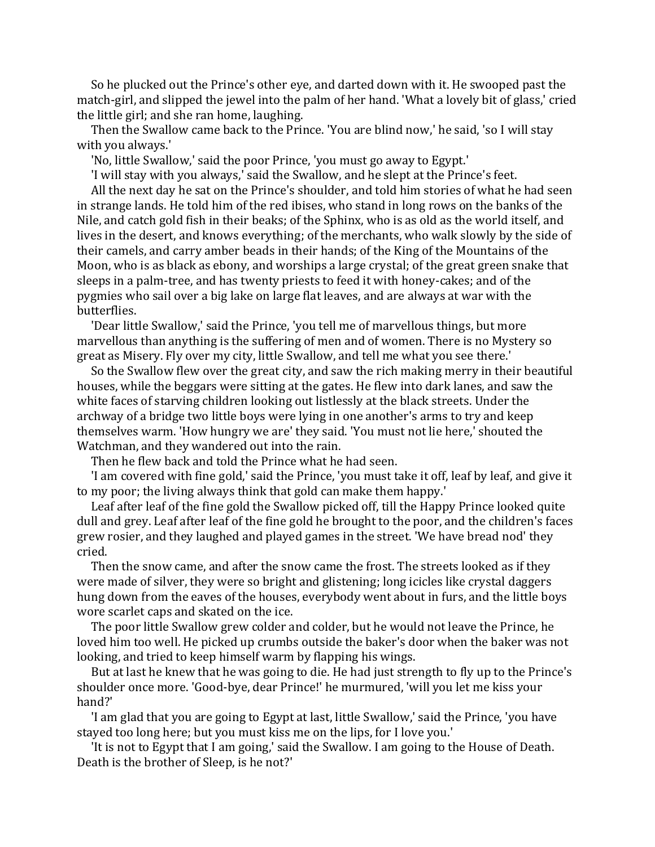So he plucked out the Prince's other eye, and darted down with it. He swooped past the match-girl, and slipped the jewel into the palm of her hand. 'What a lovely bit of glass,' cried the little girl; and she ran home, laughing.

 Then the Swallow came back to the Prince. 'You are blind now,' he said, 'so I will stay with you always.'

'No, little Swallow,' said the poor Prince, 'you must go away to Egypt.'

'I will stay with you always,' said the Swallow, and he slept at the Prince's feet.

 All the next day he sat on the Prince's shoulder, and told him stories of what he had seen in strange lands. He told him of the red ibises, who stand in long rows on the banks of the Nile, and catch gold fish in their beaks; of the Sphinx, who is as old as the world itself, and lives in the desert, and knows everything; of the merchants, who walk slowly by the side of their camels, and carry amber beads in their hands; of the King of the Mountains of the Moon, who is as black as ebony, and worships a large crystal; of the great green snake that sleeps in a palm-tree, and has twenty priests to feed it with honey-cakes; and of the pygmies who sail over a big lake on large flat leaves, and are always at war with the butterflies.

 'Dear little Swallow,' said the Prince, 'you tell me of marvellous things, but more marvellous than anything is the suffering of men and of women. There is no Mystery so great as Misery. Fly over my city, little Swallow, and tell me what you see there.'

 So the Swallow flew over the great city, and saw the rich making merry in their beautiful houses, while the beggars were sitting at the gates. He flew into dark lanes, and saw the white faces of starving children looking out listlessly at the black streets. Under the archway of a bridge two little boys were lying in one another's arms to try and keep themselves warm. 'How hungry we are' they said. 'You must not lie here,' shouted the Watchman, and they wandered out into the rain.

Then he flew back and told the Prince what he had seen.

 'I am covered with fine gold,' said the Prince, 'you must take it off, leaf by leaf, and give it to my poor; the living always think that gold can make them happy.'

 Leaf after leaf of the fine gold the Swallow picked off, till the Happy Prince looked quite dull and grey. Leaf after leaf of the fine gold he brought to the poor, and the children's faces grew rosier, and they laughed and played games in the street. 'We have bread nod' they cried.

 Then the snow came, and after the snow came the frost. The streets looked as if they were made of silver, they were so bright and glistening; long icicles like crystal daggers hung down from the eaves of the houses, everybody went about in furs, and the little boys wore scarlet caps and skated on the ice.

 The poor little Swallow grew colder and colder, but he would not leave the Prince, he loved him too well. He picked up crumbs outside the baker's door when the baker was not looking, and tried to keep himself warm by flapping his wings.

 But at last he knew that he was going to die. He had just strength to fly up to the Prince's shoulder once more. 'Good-bye, dear Prince!' he murmured, 'will you let me kiss your hand?'

 'I am glad that you are going to Egypt at last, little Swallow,' said the Prince, 'you have stayed too long here; but you must kiss me on the lips, for I love you.'

 'It is not to Egypt that I am going,' said the Swallow. I am going to the House of Death. Death is the brother of Sleep, is he not?'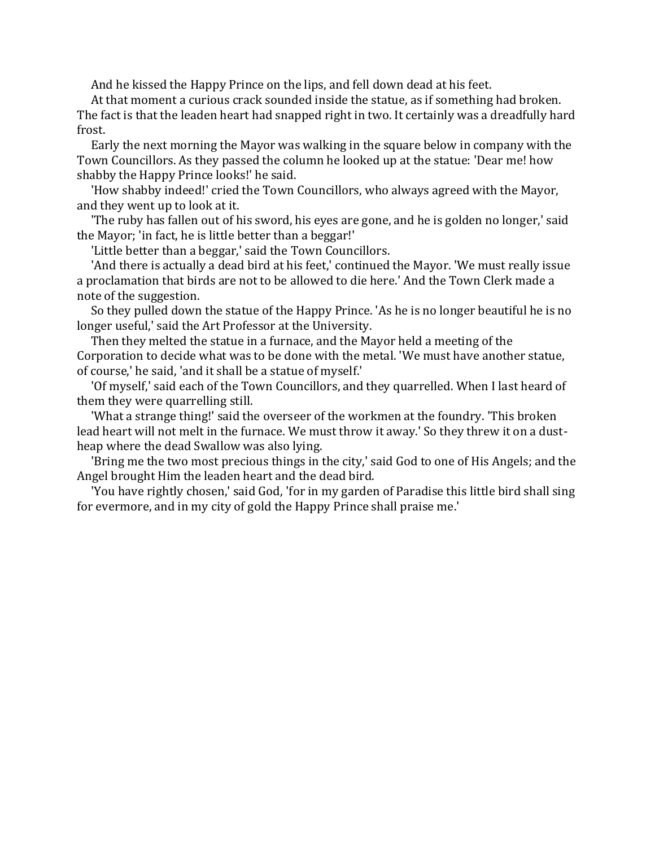And he kissed the Happy Prince on the lips, and fell down dead at his feet.

 At that moment a curious crack sounded inside the statue, as if something had broken. The fact is that the leaden heart had snapped right in two. It certainly was a dreadfully hard frost.

 Early the next morning the Mayor was walking in the square below in company with the Town Councillors. As they passed the column he looked up at the statue: 'Dear me! how shabby the Happy Prince looks!' he said.

 'How shabby indeed!' cried the Town Councillors, who always agreed with the Mayor, and they went up to look at it.

 'The ruby has fallen out of his sword, his eyes are gone, and he is golden no longer,' said the Mayor; 'in fact, he is little better than a beggar!'

'Little better than a beggar,' said the Town Councillors.

 'And there is actually a dead bird at his feet,' continued the Mayor. 'We must really issue a proclamation that birds are not to be allowed to die here.' And the Town Clerk made a note of the suggestion.

 So they pulled down the statue of the Happy Prince. 'As he is no longer beautiful he is no longer useful,' said the Art Professor at the University.

 Then they melted the statue in a furnace, and the Mayor held a meeting of the Corporation to decide what was to be done with the metal. 'We must have another statue, of course,' he said, 'and it shall be a statue of myself.'

 'Of myself,' said each of the Town Councillors, and they quarrelled. When I last heard of them they were quarrelling still.

 'What a strange thing!' said the overseer of the workmen at the foundry. 'This broken lead heart will not melt in the furnace. We must throw it away.' So they threw it on a dustheap where the dead Swallow was also lying.

 'Bring me the two most precious things in the city,' said God to one of His Angels; and the Angel brought Him the leaden heart and the dead bird.

 'You have rightly chosen,' said God, 'for in my garden of Paradise this little bird shall sing for evermore, and in my city of gold the Happy Prince shall praise me.'